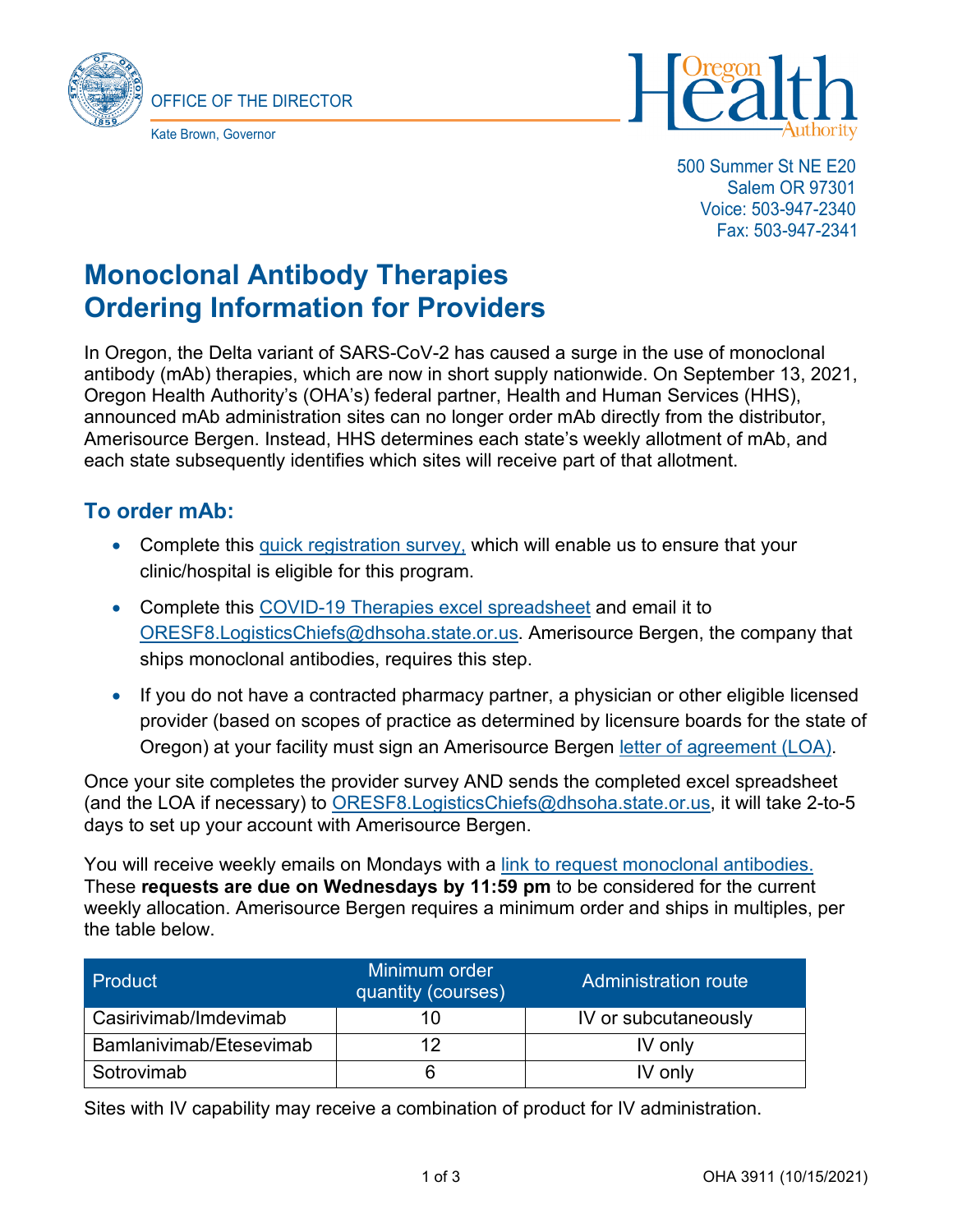



500 Summer St NE E20 Salem OR 97301 Voice: 503-947-2340 Fax: 503-947-2341

# **Monoclonal Antibody Therapies Ordering Information for Providers**

In Oregon, the Delta variant of SARS-CoV-2 has caused a surge in the use of monoclonal antibody (mAb) therapies, which are now in short supply nationwide. On September 13, 2021, Oregon Health Authority's (OHA's) federal partner, Health and Human Services (HHS), announced mAb administration sites can no longer order mAb directly from the distributor, Amerisource Bergen. Instead, HHS determines each state's weekly allotment of mAb, and each state subsequently identifies which sites will receive part of that allotment.

## **To order mAb:**

- Complete this [quick registration survey,](https://app.smartsheet.com/b/form/38df556cf4544273815698482056089a) which will enable us to ensure that your clinic/hospital is eligible for this program.
- Complete this [COVID-19 Therapies excel spreadsheet](https://sharedsystems.dhsoha.state.or.us/DHSForms/Served/le3911a.xlsx) and email it to [ORESF8.LogisticsChiefs@dhsoha.state.or.us.](mailto:ORESF8.LogisticsChiefs@dhsoha.state.or.us) Amerisource Bergen, the company that ships monoclonal antibodies, requires this step.
- If you do not have a contracted pharmacy partner, a physician or other eligible licensed provider (based on scopes of practice as determined by licensure boards for the state of Oregon) at your facility must sign an Amerisource Bergen [letter of agreement \(LOA\).](https://www.oregon.gov/oha/covid19/Documents/LOA-Form.pdf)

Once your site completes the provider survey AND sends the completed excel spreadsheet (and the LOA if necessary) to [ORESF8.LogisticsChiefs@dhsoha.state.or.us,](mailto:ORESF8.LogisticsChiefs@dhsoha.state.or.us) it will take 2-to-5 days to set up your account with Amerisource Bergen.

You will receive weekly emails on Mondays with a [link to request monoclonal antibodies.](https://app.smartsheet.com/b/form/31f422ddf5a44165a2ee3d2d3e7dde35) These **requests are due on Wednesdays by 11:59 pm** to be considered for the current weekly allocation. Amerisource Bergen requires a minimum order and ships in multiples, per the table below.

| Product                 | Minimum order<br>quantity (courses) | <b>Administration route</b> |
|-------------------------|-------------------------------------|-----------------------------|
| Casirivimab/Imdevimab   |                                     | IV or subcutaneously        |
| Bamlanivimab/Etesevimab | 1つ                                  | IV only                     |
| Sotrovimab              |                                     | IV only                     |

Sites with IV capability may receive a combination of product for IV administration.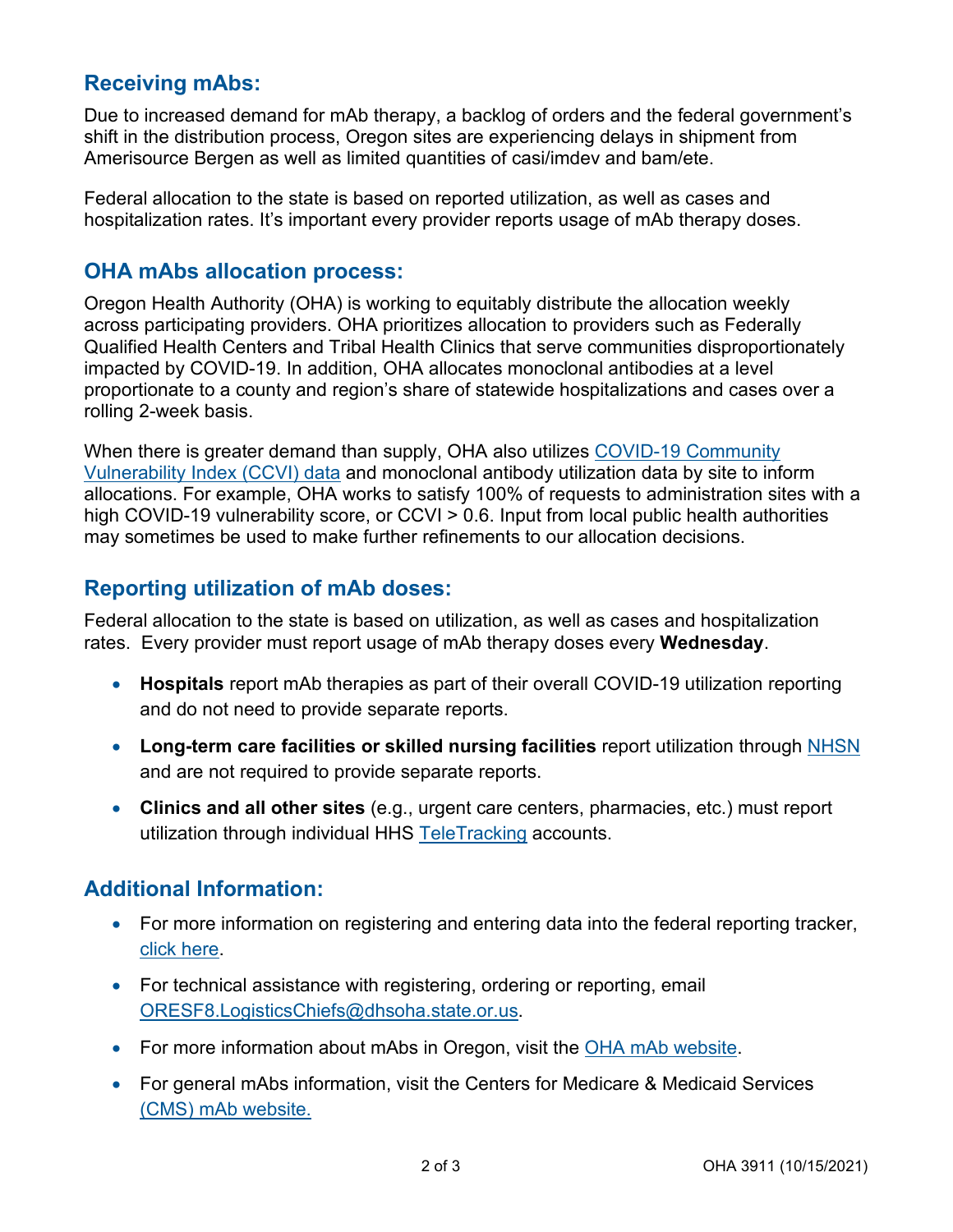## **Receiving mAbs:**

Due to increased demand for mAb therapy, a backlog of orders and the federal government's shift in the distribution process, Oregon sites are experiencing delays in shipment from Amerisource Bergen as well as limited quantities of casi/imdev and bam/ete.

Federal allocation to the state is based on reported utilization, as well as cases and hospitalization rates. It's important every provider reports usage of mAb therapy doses.

#### **OHA mAbs allocation process:**

Oregon Health Authority (OHA) is working to equitably distribute the allocation weekly across participating providers. OHA prioritizes allocation to providers such as Federally Qualified Health Centers and Tribal Health Clinics that serve communities disproportionately impacted by COVID-19. In addition, OHA allocates monoclonal antibodies at a level proportionate to a county and region's share of statewide hospitalizations and cases over a rolling 2-week basis.

When there is greater demand than supply, OHA also utilizes [COVID-19 Community](https://precisionforcovid.org/ccvi)  [Vulnerability Index \(CCVI\) data](https://precisionforcovid.org/ccvi) and monoclonal antibody utilization data by site to inform allocations. For example, OHA works to satisfy 100% of requests to administration sites with a high COVID-19 vulnerability score, or CCVI > 0.6. Input from local public health authorities may sometimes be used to make further refinements to our allocation decisions.

## **Reporting utilization of mAb doses:**

Federal allocation to the state is based on utilization, as well as cases and hospitalization rates. Every provider must report usage of mAb therapy doses every **Wednesday**.

- **Hospitals** report mAb therapies as part of their overall COVID-19 utilization reporting and do not need to provide separate reports.
- **Long-term care facilities or skilled nursing facilities** report utilization through [NHSN](https://www.cdc.gov/nhsn/ltc/covid19/index.html) and are not required to provide separate reports.
- **Clinics and all other sites** (e.g., urgent care centers, pharmacies, etc.) must report utilization through individual HHS [TeleTracking](https://help.cl-teletracking.com/en-us/c19/Therapeutics/Content/Home.htm) accounts.

### **Additional Information:**

- For more information on registering and entering data into the federal reporting tracker, [click here.](https://www.phe.gov/emergency/events/COVID19/investigation-MCM/Pages/COVID19-therapeutics-teletracking.aspx)
- For technical assistance with registering, ordering or reporting, email [ORESF8.LogisticsChiefs@dhsoha.state.or.us.](mailto:ORESF8.LogisticsChiefs@dhsoha.state.or.us)
- For more information about mAbs in Oregon, visit the [OHA mAb website.](https://www.oregon.gov/oha/covid19/Pages/monoclonal-antibody-therapy.aspx)
- For general mAbs information, visit the Centers for Medicare & Medicaid Services [\(CMS\) mAb website.](https://www.cms.gov/medicare/covid-19/monoclonal-antibody-covid-19-infusion)